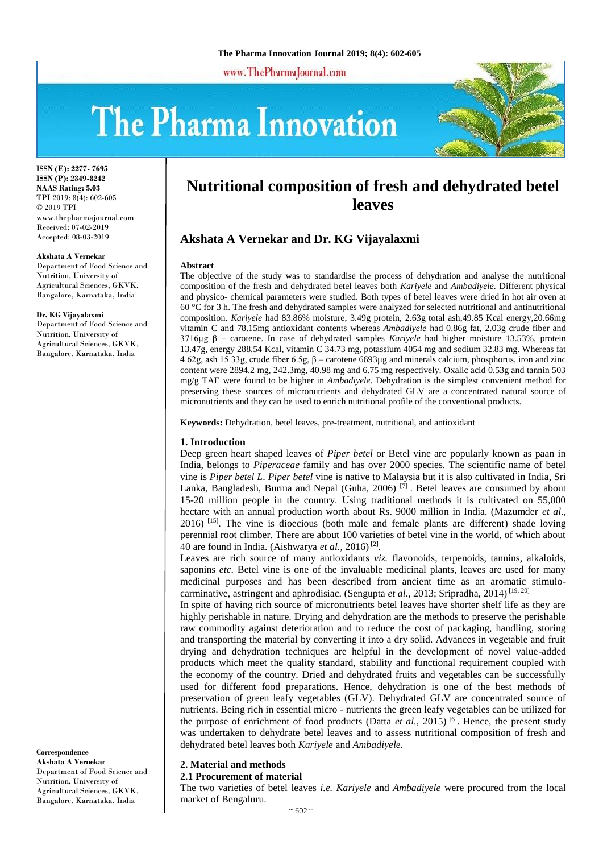www.ThePharmaJournal.com

# The Pharma Innovation



**ISSN (E): 2277- 7695 ISSN (P): 2349-8242 NAAS Rating: 5.03** TPI 2019; 8(4): 602-605 © 2019 TPI www.thepharmajournal.com Received: 07-02-2019 Accepted: 08-03-2019

#### **Akshata A Vernekar**

Department of Food Science and Nutrition, University of Agricultural Sciences, GKVK, Bangalore, Karnataka, India

#### **Dr. KG Vijayalaxmi**

Department of Food Science and Nutrition, University of Agricultural Sciences, GKVK, Bangalore, Karnataka, India

#### **Correspondence Akshata A Vernekar**

Department of Food Science and Nutrition, University of Agricultural Sciences, GKVK, Bangalore, Karnataka, India

# **Nutritional composition of fresh and dehydrated betel leaves**

# **Akshata A Vernekar and Dr. KG Vijayalaxmi**

#### **Abstract**

The objective of the study was to standardise the process of dehydration and analyse the nutritional composition of the fresh and dehydrated betel leaves both *Kariyele* and *Ambadiyele.* Different physical and physico- chemical parameters were studied. Both types of betel leaves were dried in hot air oven at 60 °C for 3 h. The fresh and dehydrated samples were analyzed for selected nutritional and antinutritional composition. *Kariyele* had 83.86% moisture, 3.49g protein, 2.63g total ash,49.85 Kcal energy,20.66mg vitamin C and 78.15mg antioxidant contents whereas *Ambadiyele* had 0.86g fat, 2.03g crude fiber and 3716µg β – carotene. In case of dehydrated samples *Kariyele* had higher moisture 13.53%, protein 13.47g, energy 288.54 Kcal, vitamin C 34.73 mg, potassium 4054 mg and sodium 32.83 mg. Whereas fat 4.62g, ash 15.33g, crude fiber 6.5g, β – carotene 6693µg and minerals calcium, phosphorus, iron and zinc content were 2894.2 mg, 242.3mg, 40.98 mg and 6.75 mg respectively. Oxalic acid 0.53g and tannin 503 mg/g TAE were found to be higher in *Ambadiyele.* Dehydration is the simplest convenient method for preserving these sources of micronutrients and dehydrated GLV are a concentrated natural source of micronutrients and they can be used to enrich nutritional profile of the conventional products.

**Keywords:** Dehydration, betel leaves, pre-treatment, nutritional, and antioxidant

#### **1. Introduction**

Deep green heart shaped leaves of *Piper betel* or Betel vine are popularly known as paan in India, belongs to *Piperaceae* family and has over 2000 species. The scientific name of betel vine is *Piper betel L*. *Piper betel* vine is native to Malaysia but it is also cultivated in India, Sri Lanka, Bangladesh, Burma and Nepal (Guha, 2006)<sup>[7]</sup>. Betel leaves are consumed by about 15-20 million people in the country. Using traditional methods it is cultivated on 55,000 hectare with an annual production worth about Rs. 9000 million in India. (Mazumder *et al.,*  $2016$ <sup>[15]</sup>. The vine is dioecious (both male and female plants are different) shade loving perennial root climber. There are about 100 varieties of betel vine in the world, of which about 40 are found in India. (Aishwarya *et al.,* 2016) [2] .

Leaves are rich source of many antioxidants *viz.* flavonoids, terpenoids, tannins, alkaloids, saponins *etc*. Betel vine is one of the invaluable medicinal plants, leaves are used for many medicinal purposes and has been described from ancient time as an aromatic stimulocarminative, astringent and aphrodisiac. (Sengupta et al., 2013; Sripradha, 2014)<sup>[19, 20]</sup>

In spite of having rich source of micronutrients betel leaves have shorter shelf life as they are highly perishable in nature. Drying and dehydration are the methods to preserve the perishable raw commodity against deterioration and to reduce the cost of packaging, handling, storing and transporting the material by converting it into a dry solid. Advances in vegetable and fruit drying and dehydration techniques are helpful in the development of novel value-added products which meet the quality standard, stability and functional requirement coupled with the economy of the country. Dried and dehydrated fruits and vegetables can be successfully used for different food preparations. Hence, dehydration is one of the best methods of preservation of green leafy vegetables (GLV). Dehydrated GLV are concentrated source of nutrients. Being rich in essential micro - nutrients the green leafy vegetables can be utilized for the purpose of enrichment of food products (Datta *et al.,* 2015) [6]. Hence, the present study was undertaken to dehydrate betel leaves and to assess nutritional composition of fresh and dehydrated betel leaves both *Kariyele* and *Ambadiyele.*

#### **2. Material and methods**

**2.1 Procurement of material**

The two varieties of betel leaves *i.e. Kariyele* and *Ambadiyele* were procured from the local market of Bengaluru.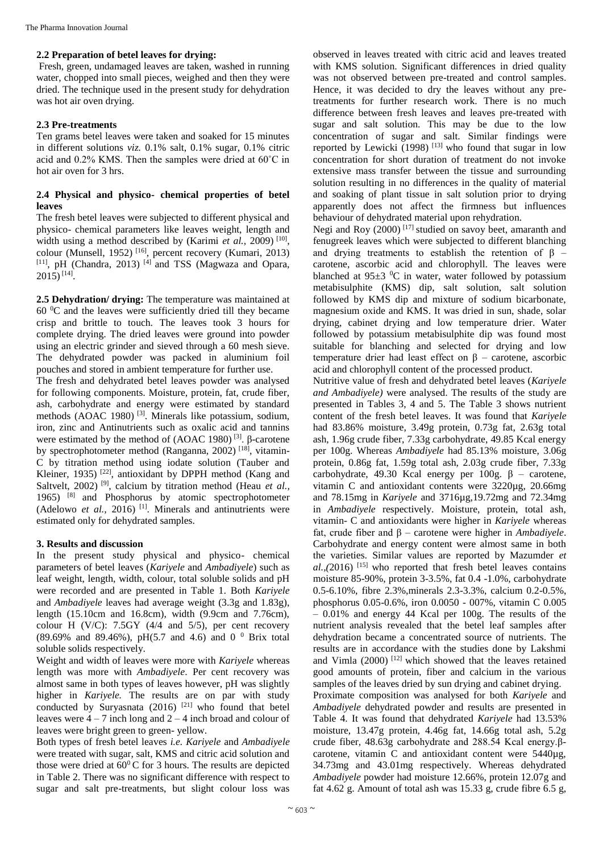#### **2.2 Preparation of betel leaves for drying:**

Fresh, green, undamaged leaves are taken, washed in running water, chopped into small pieces, weighed and then they were dried. The technique used in the present study for dehydration was hot air oven drying.

#### **2.3 Pre-treatments**

Ten grams betel leaves were taken and soaked for 15 minutes in different solutions *viz.* 0.1% salt, 0.1% sugar, 0.1% citric acid and 0.2% KMS. Then the samples were dried at 60˚C in hot air oven for 3 hrs.

## **2.4 Physical and physico- chemical properties of betel leaves**

The fresh betel leaves were subjected to different physical and physico- chemical parameters like leaves weight, length and width using a method described by (Karimi et al., 2009)<sup>[10]</sup>, colour (Munsell, 1952) [16], percent recovery (Kumari, 2013) [11], pH (Chandra, 2013)<sup>[4]</sup> and TSS (Magwaza and Opara,  $2015$ ) [14].

**2.5 Dehydration/ drying:** The temperature was maintained at  $60<sup>0</sup>C$  and the leaves were sufficiently dried till they became crisp and brittle to touch. The leaves took 3 hours for complete drying. The dried leaves were ground into powder using an electric grinder and sieved through a 60 mesh sieve. The dehydrated powder was packed in aluminium foil pouches and stored in ambient temperature for further use.

The fresh and dehydrated betel leaves powder was analysed for following components. Moisture, protein, fat, crude fiber, ash, carbohydrate and energy were estimated by standard methods (AOAC 1980) [3]. Minerals like potassium, sodium, iron, zinc and Antinutrients such as oxalic acid and tannins were estimated by the method of (AOAC 1980) [3]. β-carotene by spectrophotometer method (Ranganna, 2002)<sup>[18]</sup>, vitamin-C by titration method using iodate solution (Tauber and Kleiner, 1935)<sup>[22]</sup>, antioxidant by DPPH method (Kang and Saltvelt, 2002)<sup>[9]</sup>, calcium by titration method (Heau *et al.*, 1965) [8] and Phosphorus by atomic spectrophotometer (Adelowo *et al.,* 2016) [1]. Minerals and antinutrients were estimated only for dehydrated samples.

## **3. Results and discussion**

In the present study physical and physico- chemical parameters of betel leaves (*Kariyele* and *Ambadiyele*) such as leaf weight, length, width, colour, total soluble solids and pH were recorded and are presented in Table 1. Both *Kariyele* and *Ambadiyele* leaves had average weight (3.3g and 1.83g), length (15.10cm and 16.8cm), width (9.9cm and 7.76cm), colour H (V/C): 7.5GY (4/4 and 5/5), per cent recovery (89.69% and 89.46%), pH(5.7 and 4.6) and 0  $^{0}$  Brix total soluble solids respectively.

Weight and width of leaves were more with *Kariyele* whereas length was more with *Ambadiyele*. Per cent recovery was almost same in both types of leaves however, pH was slightly higher in *Kariyele.* The results are on par with study conducted by Suryasnata  $(2016)$ <sup>[21]</sup> who found that betel leaves were  $4 - 7$  inch long and  $2 - 4$  inch broad and colour of leaves were bright green to green- yellow.

Both types of fresh betel leaves *i.e. Kariyele* and *Ambadiyele* were treated with sugar, salt, KMS and citric acid solution and those were dried at  $60^{\circ}$ C for 3 hours. The results are depicted in Table 2. There was no significant difference with respect to sugar and salt pre-treatments, but slight colour loss was

observed in leaves treated with citric acid and leaves treated with KMS solution. Significant differences in dried quality was not observed between pre-treated and control samples. Hence, it was decided to dry the leaves without any pretreatments for further research work. There is no much difference between fresh leaves and leaves pre-treated with sugar and salt solution. This may be due to the low concentration of sugar and salt. Similar findings were reported by Lewicki  $(1998)^{[13]}$  who found that sugar in low concentration for short duration of treatment do not invoke extensive mass transfer between the tissue and surrounding solution resulting in no differences in the quality of material and soaking of plant tissue in salt solution prior to drying apparently does not affect the firmness but influences behaviour of dehydrated material upon rehydration.

Negi and Roy  $(2000)$ <sup>[17]</sup> studied on savoy beet, amaranth and fenugreek leaves which were subjected to different blanching and drying treatments to establish the retention of  $\beta$  – carotene, ascorbic acid and chlorophyll. The leaves were blanched at  $95\pm3$  °C in water, water followed by potassium metabisulphite (KMS) dip, salt solution, salt solution followed by KMS dip and mixture of sodium bicarbonate, magnesium oxide and KMS. It was dried in sun, shade, solar drying, cabinet drying and low temperature drier. Water followed by potassium metabisulphite dip was found most suitable for blanching and selected for drying and low temperature drier had least effect on  $β$  – carotene, ascorbic acid and chlorophyll content of the processed product.

Nutritive value of fresh and dehydrated betel leaves (*Kariyele and Ambadiyele)* were analysed. The results of the study are presented in Tables 3, 4 and 5. The Table 3 shows nutrient content of the fresh betel leaves. It was found that *Kariyele* had 83.86% moisture, 3.49g protein, 0.73g fat, 2.63g total ash, 1.96g crude fiber, 7.33g carbohydrate, 49.85 Kcal energy per 100g. Whereas *Ambadiyele* had 85.13% moisture, 3.06g protein, 0.86g fat, 1.59g total ash, 2.03g crude fiber, 7.33g carbohydrate, 49.30 Kcal energy per  $100g$ .  $\beta$  – carotene, vitamin C and antioxidant contents were 3220µg, 20.66mg and 78.15mg in *Kariyele* and 3716µg,19.72mg and 72.34mg in *Ambadiyele* respectively. Moisture, protein, total ash, vitamin- C and antioxidants were higher in *Kariyele* whereas fat, crude fiber and β – carotene were higher in *Ambadiyele*. Carbohydrate and energy content were almost same in both the varieties. Similar values are reported by Mazumder *et*   $al.,$ (2016)<sup>[15]</sup> who reported that fresh betel leaves contains moisture 85-90%, protein 3-3.5%, fat 0.4 -1.0%, carbohydrate 0.5-6.10%, fibre 2.3%,minerals 2.3-3.3%, calcium 0.2-0.5%, phosphorus 0.05-0.6%, iron 0.0050 - 007%, vitamin C 0.005  $-0.01\%$  and energy 44 Kcal per 100g. The results of the nutrient analysis revealed that the betel leaf samples after dehydration became a concentrated source of nutrients. The results are in accordance with the studies done by Lakshmi and Vimla (2000) <sup>[12]</sup> which showed that the leaves retained good amounts of protein, fiber and calcium in the various samples of the leaves dried by sun drying and cabinet drying. Proximate composition was analysed for both *Kariyele* and *Ambadiyele* dehydrated powder and results are presented in Table 4. It was found that dehydrated *Kariyele* had 13.53% moisture, 13.47g protein, 4.46g fat, 14.66g total ash, 5.2g crude fiber, 48.63g carbohydrate and 288.54 Kcal energy.βcarotene, vitamin C and antioxidant content were 5440µg, 34.73mg and 43.01mg respectively. Whereas dehydrated *Ambadiyele* powder had moisture 12.66%, protein 12.07g and fat 4.62 g. Amount of total ash was 15.33 g, crude fibre 6.5 g,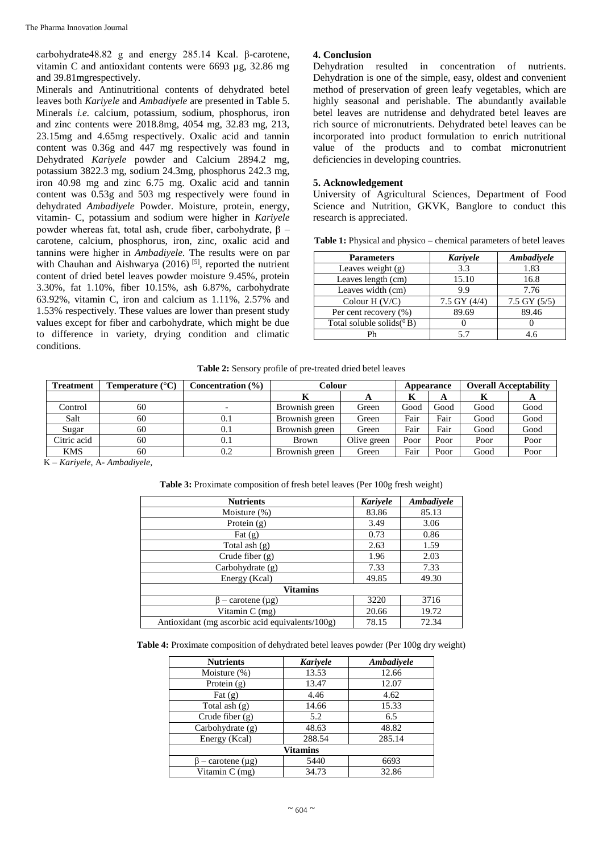carbohydrate48.82 g and energy 285.14 Kcal. β-carotene, vitamin C and antioxidant contents were 6693 µg, 32.86 mg and 39.81mgrespectively.

Minerals and Antinutritional contents of dehydrated betel leaves both *Kariyele* and *Ambadiyele* are presented in Table 5. Minerals *i.e.* calcium, potassium, sodium, phosphorus, iron and zinc contents were 2018.8mg, 4054 mg, 32.83 mg, 213, 23.15mg and 4.65mg respectively. Oxalic acid and tannin content was 0.36g and 447 mg respectively was found in Dehydrated *Kariyele* powder and Calcium 2894.2 mg, potassium 3822.3 mg, sodium 24.3mg, phosphorus 242.3 mg, iron 40.98 mg and zinc 6.75 mg. Oxalic acid and tannin content was 0.53g and 503 mg respectively were found in dehydrated *Ambadiyele* Powder. Moisture, protein, energy, vitamin- C, potassium and sodium were higher in *Kariyele* powder whereas fat, total ash, crude fiber, carbohydrate, β – carotene, calcium, phosphorus, iron, zinc, oxalic acid and tannins were higher in *Ambadiyele.* The results were on par with Chauhan and Aishwarya (2016)<sup>[5]</sup>, reported the nutrient content of dried betel leaves powder moisture 9.45%, protein 3.30%, fat 1.10%, fiber 10.15%, ash 6.87%, carbohydrate 63.92%, vitamin C, iron and calcium as 1.11%, 2.57% and 1.53% respectively. These values are lower than present study values except for fiber and carbohydrate, which might be due to difference in variety, drying condition and climatic conditions.

# **4. Conclusion**

Dehydration resulted in concentration of nutrients. Dehydration is one of the simple, easy, oldest and convenient method of preservation of green leafy vegetables, which are highly seasonal and perishable. The abundantly available betel leaves are nutridense and dehydrated betel leaves are rich source of micronutrients. Dehydrated betel leaves can be incorporated into product formulation to enrich nutritional value of the products and to combat micronutrient deficiencies in developing countries.

#### **5. Acknowledgement**

University of Agricultural Sciences, Department of Food Science and Nutrition, GKVK, Banglore to conduct this research is appreciated.

Table 1: Physical and physico – chemical parameters of betel leaves

| <b>Parameters</b>                 | Kariyele       | Ambadiyele       |
|-----------------------------------|----------------|------------------|
| Leaves weight (g)                 | 3.3            | 1.83             |
| Leaves length (cm)                | 15.10          | 16.8             |
| Leaves width (cm)                 | 9.9            | 7.76             |
| Colour H $(V/C)$                  | 7.5 GY $(4/4)$ | $7.5$ GY $(5/5)$ |
| Per cent recovery (%)             | 89.69          | 89.46            |
| Total soluble solids( ${}^{0}B$ ) |                |                  |
|                                   | 5.7            | 4.6              |

| Table 2: Sensory profile of pre-treated dried betel leaves |
|------------------------------------------------------------|
|------------------------------------------------------------|

| <b>Treatment</b> | Temperature (°C) | Concentration (%) | Colour         |             | Appearance |      | <b>Overall Acceptability</b> |      |
|------------------|------------------|-------------------|----------------|-------------|------------|------|------------------------------|------|
|                  |                  |                   |                |             | A          | A    | A                            |      |
| Control          | 60               |                   | Brownish green | Green       | Good       | Good | Good                         | Good |
| Salt             | 60               | 0.1               | Brownish green | Green       | Fair       | Fair | Good                         | Good |
| Sugar            | 60               | 0.1               | Brownish green | Green       | Fair       | Fair | Good                         | Good |
| Citric acid      | 60               | 0.1               | <b>Brown</b>   | Olive green | Poor       | Poor | Poor                         | Poor |
| <b>KMS</b>       | 60               | 0.2               | Brownish green | Green       | Fair       | Poor | Good                         | Poor |

K – *Kariyele*, A- *Ambadiyele,*

**Table 3:** Proximate composition of fresh betel leaves (Per 100g fresh weight)

| <b>Nutrients</b>                                | Kariyele | Ambadiyele |  |
|-------------------------------------------------|----------|------------|--|
| Moisture $(\%)$                                 | 83.86    | 85.13      |  |
| Protein $(g)$                                   | 3.49     | 3.06       |  |
| Fat $(g)$                                       | 0.73     | 0.86       |  |
| Total ash $(g)$                                 | 2.63     | 1.59       |  |
| Crude fiber $(g)$                               | 1.96     | 2.03       |  |
| Carbohydrate (g)                                | 7.33     | 7.33       |  |
| Energy (Kcal)                                   | 49.85    | 49.30      |  |
| <b>Vitamins</b>                                 |          |            |  |
| $\beta$ – carotene (µg)                         | 3220     | 3716       |  |
| Vitamin $C$ (mg)                                | 20.66    | 19.72      |  |
| Antioxidant (mg ascorbic acid equivalents/100g) | 78.15    | 72.34      |  |

**Table 4:** Proximate composition of dehydrated betel leaves powder (Per 100g dry weight)

| <b>Nutrients</b>       | Kariyele | Ambadiyele |  |  |
|------------------------|----------|------------|--|--|
| Moisture (%)           | 13.53    | 12.66      |  |  |
| Protein $(g)$          | 13.47    | 12.07      |  |  |
| Fat $(g)$              | 4.46     | 4.62       |  |  |
| Total ash $(g)$        | 14.66    | 15.33      |  |  |
| Crude fiber $(g)$      | 5.2      | 6.5        |  |  |
| Carbohydrate $(g)$     | 48.63    | 48.82      |  |  |
| Energy (Kcal)          | 288.54   | 285.14     |  |  |
| <b>Vitamins</b>        |          |            |  |  |
| $-$ carotene $(\mu g)$ | 5440     | 6693       |  |  |
| Vitamin C (mg)         | 34.73    | 32.86      |  |  |